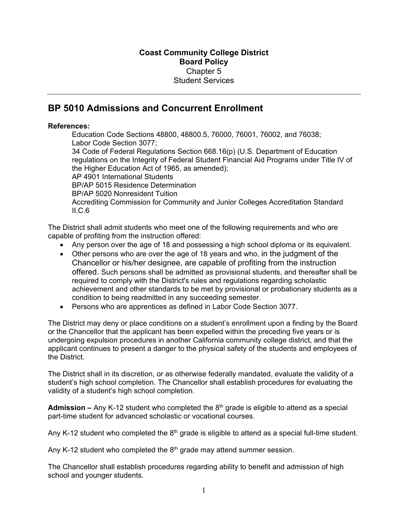## **BP 5010 Admissions and Concurrent Enrollment**

## **References:**

Education Code Sections 48800, 48800.5, 76000, 76001, 76002, and 76038; Labor Code Section 3077; 34 Code of Federal Regulations Section 668.16(p) (U.S. Department of Education regulations on the Integrity of Federal Student Financial Aid Programs under Title IV of the Higher Education Act of 1965, as amended); AP 4901 International Students BP/AP 5015 Residence Determination BP/AP 5020 Nonresident Tuition Accrediting Commission for Community and Junior Colleges Accreditation Standard II.C.6

The District shall admit students who meet one of the following requirements and who are capable of profiting from the instruction offered:

- Any person over the age of 18 and possessing a high school diploma or its equivalent.
- Other persons who are over the age of 18 years and who, in the judgment of the Chancellor or his/her designee, are capable of profiting from the instruction offered. Such persons shall be admitted as provisional students, and thereafter shall be required to comply with the District's rules and regulations regarding scholastic achievement and other standards to be met by provisional or probationary students as a condition to being readmitted in any succeeding semester.
- Persons who are apprentices as defined in Labor Code Section 3077.

The District may deny or place conditions on a student's enrollment upon a finding by the Board or the Chancellor that the applicant has been expelled within the preceding five years or is undergoing expulsion procedures in another California community college district, and that the applicant continues to present a danger to the physical safety of the students and employees of the District.

The District shall in its discretion, or as otherwise federally mandated, evaluate the validity of a student's high school completion. The Chancellor shall establish procedures for evaluating the validity of a student's high school completion.

**Admission –** Any K-12 student who completed the 8th grade is eligible to attend as a special part-time student for advanced scholastic or vocational courses.

Any K-12 student who completed the  $8<sup>th</sup>$  grade is eligible to attend as a special full-time student.

Any K-12 student who completed the  $8<sup>th</sup>$  grade may attend summer session.

The Chancellor shall establish procedures regarding ability to benefit and admission of high school and younger students.